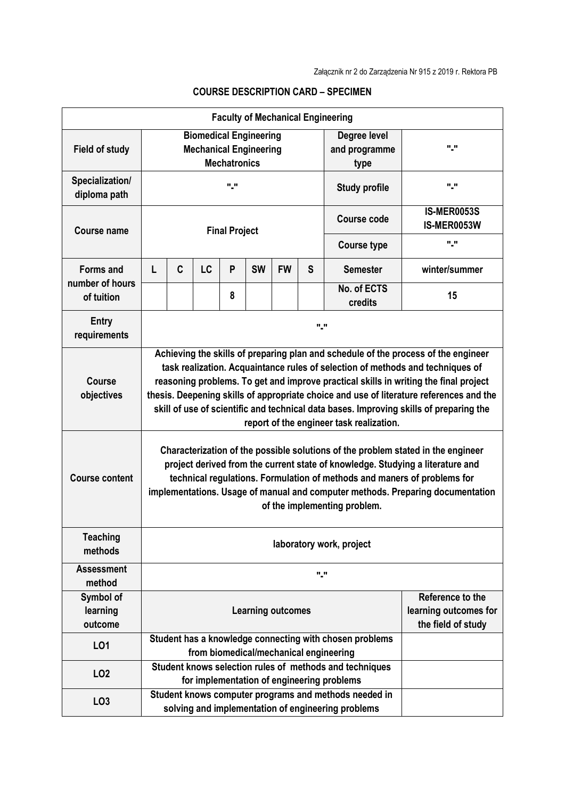| <b>Faculty of Mechanical Engineering</b>          |                                                                                                                                                                                                                                                                                                                                                                                                                                                                                               |   |           |   |           |           |                                       |                                                                                                             |                                   |  |  |  |
|---------------------------------------------------|-----------------------------------------------------------------------------------------------------------------------------------------------------------------------------------------------------------------------------------------------------------------------------------------------------------------------------------------------------------------------------------------------------------------------------------------------------------------------------------------------|---|-----------|---|-----------|-----------|---------------------------------------|-------------------------------------------------------------------------------------------------------------|-----------------------------------|--|--|--|
| <b>Field of study</b>                             | <b>Biomedical Engineering</b><br><b>Mechanical Engineering</b><br><b>Mechatronics</b>                                                                                                                                                                                                                                                                                                                                                                                                         |   |           |   |           |           | Degree level<br>and programme<br>type | "."                                                                                                         |                                   |  |  |  |
| Specialization/<br>diploma path                   | "."                                                                                                                                                                                                                                                                                                                                                                                                                                                                                           |   |           |   |           |           | "."<br><b>Study profile</b>           |                                                                                                             |                                   |  |  |  |
| Course name                                       | <b>Final Project</b>                                                                                                                                                                                                                                                                                                                                                                                                                                                                          |   |           |   |           |           |                                       | Course code                                                                                                 | <b>IS-MER0053S</b><br>IS-MER0053W |  |  |  |
|                                                   |                                                                                                                                                                                                                                                                                                                                                                                                                                                                                               |   |           |   |           |           |                                       | <b>Course type</b><br><b>Semester</b><br>No. of ECTS<br>credits                                             | "."                               |  |  |  |
| <b>Forms and</b><br>number of hours<br>of tuition | L                                                                                                                                                                                                                                                                                                                                                                                                                                                                                             | C | <b>LC</b> | P | <b>SW</b> | <b>FW</b> | S                                     |                                                                                                             | winter/summer                     |  |  |  |
|                                                   |                                                                                                                                                                                                                                                                                                                                                                                                                                                                                               |   |           | 8 |           |           |                                       |                                                                                                             | 15                                |  |  |  |
| <b>Entry</b><br>requirements                      | "."                                                                                                                                                                                                                                                                                                                                                                                                                                                                                           |   |           |   |           |           |                                       |                                                                                                             |                                   |  |  |  |
| <b>Course</b><br>objectives                       | Achieving the skills of preparing plan and schedule of the process of the engineer<br>task realization. Acquaintance rules of selection of methods and techniques of<br>reasoning problems. To get and improve practical skills in writing the final project<br>thesis. Deepening skills of appropriate choice and use of literature references and the<br>skill of use of scientific and technical data bases. Improving skills of preparing the<br>report of the engineer task realization. |   |           |   |           |           |                                       |                                                                                                             |                                   |  |  |  |
| <b>Course content</b>                             | Characterization of the possible solutions of the problem stated in the engineer<br>project derived from the current state of knowledge. Studying a literature and<br>technical regulations. Formulation of methods and maners of problems for<br>implementations. Usage of manual and computer methods. Preparing documentation<br>of the implementing problem.                                                                                                                              |   |           |   |           |           |                                       |                                                                                                             |                                   |  |  |  |
| <b>Teaching</b><br>methods                        | laboratory work, project                                                                                                                                                                                                                                                                                                                                                                                                                                                                      |   |           |   |           |           |                                       |                                                                                                             |                                   |  |  |  |
| <b>Assessment</b><br>method                       | "."                                                                                                                                                                                                                                                                                                                                                                                                                                                                                           |   |           |   |           |           |                                       |                                                                                                             |                                   |  |  |  |
| Symbol of<br>learning<br>outcome                  | Reference to the<br><b>Learning outcomes</b><br>the field of study                                                                                                                                                                                                                                                                                                                                                                                                                            |   |           |   |           |           |                                       | learning outcomes for                                                                                       |                                   |  |  |  |
| L01                                               |                                                                                                                                                                                                                                                                                                                                                                                                                                                                                               |   |           |   |           |           |                                       | Student has a knowledge connecting with chosen problems<br>from biomedical/mechanical engineering           |                                   |  |  |  |
| LO <sub>2</sub>                                   |                                                                                                                                                                                                                                                                                                                                                                                                                                                                                               |   |           |   |           |           |                                       | Student knows selection rules of methods and techniques<br>for implementation of engineering problems       |                                   |  |  |  |
| LO <sub>3</sub>                                   |                                                                                                                                                                                                                                                                                                                                                                                                                                                                                               |   |           |   |           |           |                                       | Student knows computer programs and methods needed in<br>solving and implementation of engineering problems |                                   |  |  |  |

## **COURSE DESCRIPTION CARD – SPECIMEN**